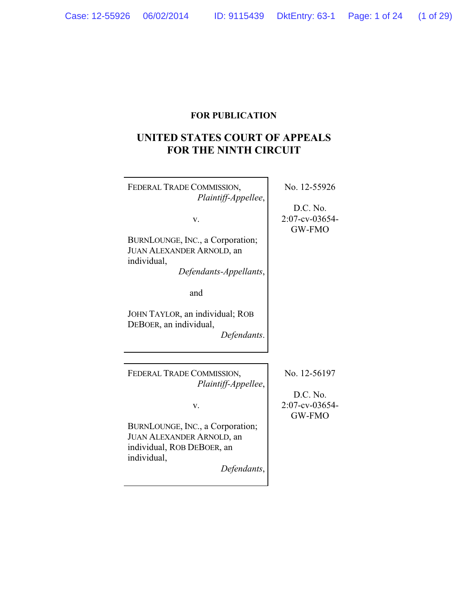## **FOR PUBLICATION**

# **UNITED STATES COURT OF APPEALS FOR THE NINTH CIRCUIT**

| FEDERAL TRADE COMMISSION,<br>Plaintiff-Appellee,                                                                    | No. 12-55926                         |
|---------------------------------------------------------------------------------------------------------------------|--------------------------------------|
| V.<br>BURNLOUNGE, INC., a Corporation;<br><b>JUAN ALEXANDER ARNOLD, an</b><br>individual,<br>Defendants-Appellants, | D.C. No.<br>2:07-cv-03654-<br>GW-FMO |
| and                                                                                                                 |                                      |
| JOHN TAYLOR, an individual; ROB<br>DEBOER, an individual,<br>Defendants.                                            |                                      |
|                                                                                                                     |                                      |
| FEDERAL TRADE COMMISSION,<br>Plaintiff-Appellee,                                                                    | No. 12-56197                         |
| V.                                                                                                                  | D.C. No.<br>2:07-cv-03654-<br>GW-FMO |
| BURNLOUNGE, INC., a Corporation;                                                                                    |                                      |
| <b>JUAN ALEXANDER ARNOLD, an</b>                                                                                    |                                      |
| individual, ROB DEBOER, an                                                                                          |                                      |
| individual,                                                                                                         |                                      |
| Defendants,                                                                                                         |                                      |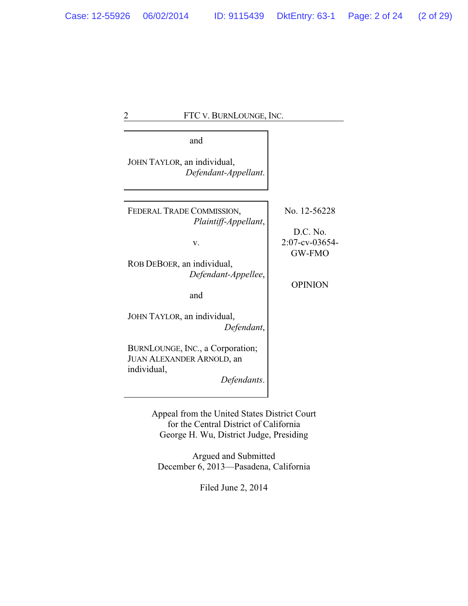# 2 FTC V. BURNLOUNGE, INC. and JOHN TAYLOR, an individual, *Defendant-Appellant*. FEDERAL TRADE COMMISSION, *Plaintiff-Appellant*, v. ROB DEBOER, an individual, *Defendant-Appellee*, and JOHN TAYLOR, an individual, *Defendant*, BURNLOUNGE, INC., a Corporation; JUAN ALEXANDER ARNOLD, an individual, *Defendants*. No. 12-56228 D.C. No. 2:07-cv-03654- GW-FMO OPINION

Appeal from the United States District Court for the Central District of California George H. Wu, District Judge, Presiding

Argued and Submitted December 6, 2013—Pasadena, California

Filed June 2, 2014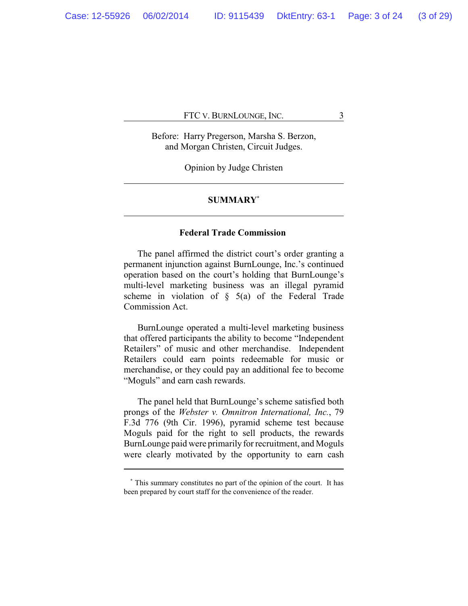Before: Harry Pregerson, Marsha S. Berzon, and Morgan Christen, Circuit Judges.

Opinion by Judge Christen

## **SUMMARY\***

## **Federal Trade Commission**

The panel affirmed the district court's order granting a permanent injunction against BurnLounge, Inc.'s continued operation based on the court's holding that BurnLounge's multi-level marketing business was an illegal pyramid scheme in violation of  $\S$  5(a) of the Federal Trade Commission Act.

BurnLounge operated a multi-level marketing business that offered participants the ability to become "Independent Retailers" of music and other merchandise. Independent Retailers could earn points redeemable for music or merchandise, or they could pay an additional fee to become "Moguls" and earn cash rewards.

The panel held that BurnLounge's scheme satisfied both prongs of the *Webster v. Omnitron International, Inc.*, 79 F.3d 776 (9th Cir. 1996), pyramid scheme test because Moguls paid for the right to sell products, the rewards BurnLounge paid were primarily for recruitment, and Moguls were clearly motivated by the opportunity to earn cash

**<sup>\*</sup>** This summary constitutes no part of the opinion of the court. It has been prepared by court staff for the convenience of the reader.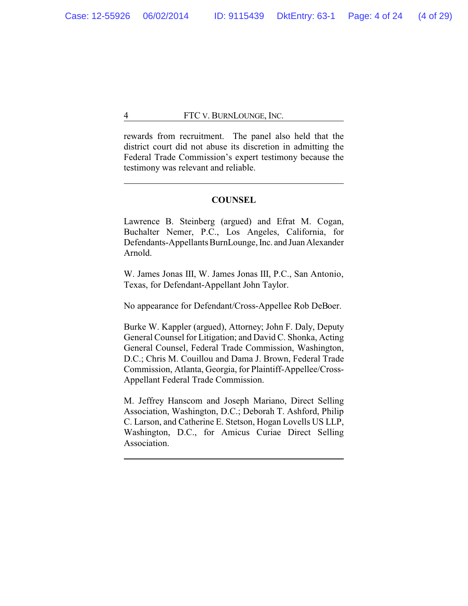rewards from recruitment. The panel also held that the district court did not abuse its discretion in admitting the Federal Trade Commission's expert testimony because the testimony was relevant and reliable.

## **COUNSEL**

Lawrence B. Steinberg (argued) and Efrat M. Cogan, Buchalter Nemer, P.C., Los Angeles, California, for Defendants-Appellants BurnLounge, Inc. and Juan Alexander Arnold.

W. James Jonas III, W. James Jonas III, P.C., San Antonio, Texas, for Defendant-Appellant John Taylor.

No appearance for Defendant/Cross-Appellee Rob DeBoer.

Burke W. Kappler (argued), Attorney; John F. Daly, Deputy General Counsel for Litigation; and David C. Shonka, Acting General Counsel, Federal Trade Commission, Washington, D.C.; Chris M. Couillou and Dama J. Brown, Federal Trade Commission, Atlanta, Georgia, for Plaintiff-Appellee/Cross-Appellant Federal Trade Commission.

M. Jeffrey Hanscom and Joseph Mariano, Direct Selling Association, Washington, D.C.; Deborah T. Ashford, Philip C. Larson, and Catherine E. Stetson, Hogan Lovells US LLP, Washington, D.C., for Amicus Curiae Direct Selling Association.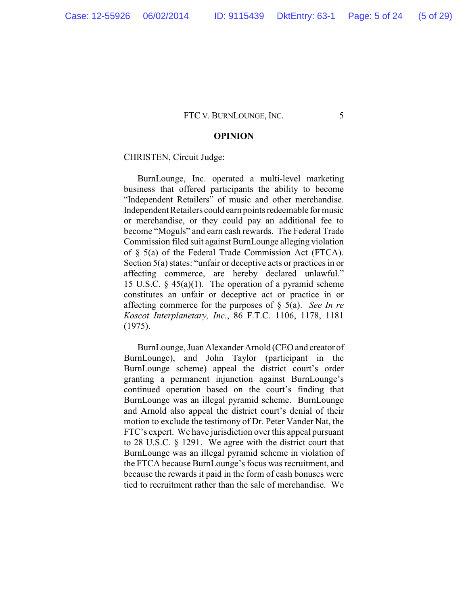## **OPINION**

#### CHRISTEN, Circuit Judge:

BurnLounge, Inc. operated a multi-level marketing business that offered participants the ability to become "Independent Retailers" of music and other merchandise. Independent Retailers could earn points redeemable for music or merchandise, or they could pay an additional fee to become "Moguls" and earn cash rewards. The Federal Trade Commission filed suit against BurnLounge alleging violation of § 5(a) of the Federal Trade Commission Act (FTCA). Section 5(a) states: "unfair or deceptive acts or practices in or affecting commerce, are hereby declared unlawful." 15 U.S.C.  $\S$  45(a)(1). The operation of a pyramid scheme constitutes an unfair or deceptive act or practice in or affecting commerce for the purposes of § 5(a). *See In re Koscot Interplanetary, Inc.*, 86 F.T.C. 1106, 1178, 1181 (1975).

BurnLounge, Juan Alexander Arnold (CEO and creator of BurnLounge), and John Taylor (participant in the BurnLounge scheme) appeal the district court's order granting a permanent injunction against BurnLounge's continued operation based on the court's finding that BurnLounge was an illegal pyramid scheme. BurnLounge and Arnold also appeal the district court's denial of their motion to exclude the testimony of Dr. Peter Vander Nat, the FTC's expert. We have jurisdiction over this appeal pursuant to 28 U.S.C. § 1291. We agree with the district court that BurnLounge was an illegal pyramid scheme in violation of the FTCA because BurnLounge's focus was recruitment, and because the rewards it paid in the form of cash bonuses were tied to recruitment rather than the sale of merchandise. We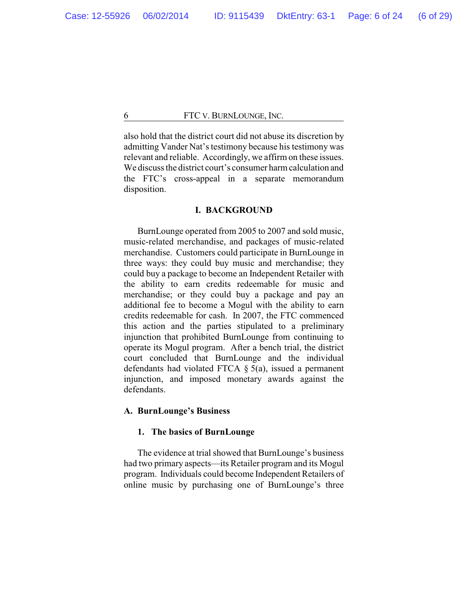also hold that the district court did not abuse its discretion by admitting Vander Nat's testimony because his testimony was relevant and reliable. Accordingly, we affirm on these issues. We discuss the district court's consumer harm calculation and the FTC's cross-appeal in a separate memorandum disposition.

## **I. BACKGROUND**

BurnLounge operated from 2005 to 2007 and sold music, music-related merchandise, and packages of music-related merchandise. Customers could participate in BurnLounge in three ways: they could buy music and merchandise; they could buy a package to become an Independent Retailer with the ability to earn credits redeemable for music and merchandise; or they could buy a package and pay an additional fee to become a Mogul with the ability to earn credits redeemable for cash. In 2007, the FTC commenced this action and the parties stipulated to a preliminary injunction that prohibited BurnLounge from continuing to operate its Mogul program. After a bench trial, the district court concluded that BurnLounge and the individual defendants had violated FTCA § 5(a), issued a permanent injunction, and imposed monetary awards against the defendants.

## **A. BurnLounge's Business**

## **1. The basics of BurnLounge**

The evidence at trial showed that BurnLounge's business had two primary aspects—its Retailer program and its Mogul program. Individuals could become Independent Retailers of online music by purchasing one of BurnLounge's three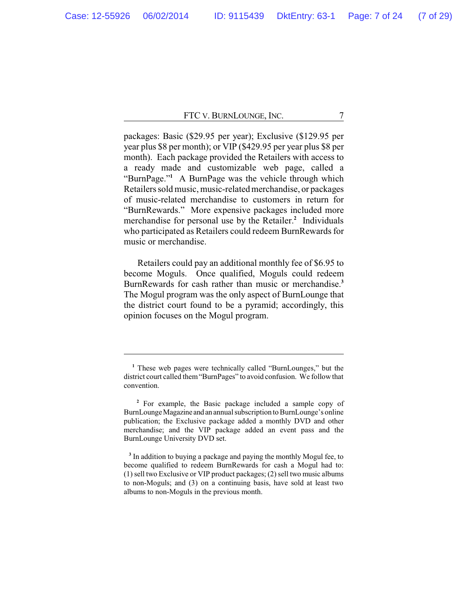packages: Basic (\$29.95 per year); Exclusive (\$129.95 per year plus \$8 per month); or VIP (\$429.95 per year plus \$8 per month). Each package provided the Retailers with access to a ready made and customizable web page, called a "BurnPage."**<sup>1</sup>** A BurnPage was the vehicle through which Retailers sold music, music-related merchandise, or packages of music-related merchandise to customers in return for "BurnRewards." More expensive packages included more merchandise for personal use by the Retailer.**<sup>2</sup>** Individuals who participated as Retailers could redeem BurnRewards for music or merchandise.

Retailers could pay an additional monthly fee of \$6.95 to become Moguls. Once qualified, Moguls could redeem BurnRewards for cash rather than music or merchandise.**<sup>3</sup>** The Mogul program was the only aspect of BurnLounge that the district court found to be a pyramid; accordingly, this opinion focuses on the Mogul program.

**<sup>1</sup>** These web pages were technically called "BurnLounges," but the district court called them"BurnPages" to avoid confusion. We followthat convention.

**<sup>2</sup>** For example, the Basic package included a sample copy of BurnLounge Magazine and an annual subscription to BurnLounge's online publication; the Exclusive package added a monthly DVD and other merchandise; and the VIP package added an event pass and the BurnLounge University DVD set.

**<sup>3</sup>** In addition to buying a package and paying the monthly Mogul fee, to become qualified to redeem BurnRewards for cash a Mogul had to: (1) sell two Exclusive or VIP product packages; (2) sell two music albums to non-Moguls; and (3) on a continuing basis, have sold at least two albums to non-Moguls in the previous month.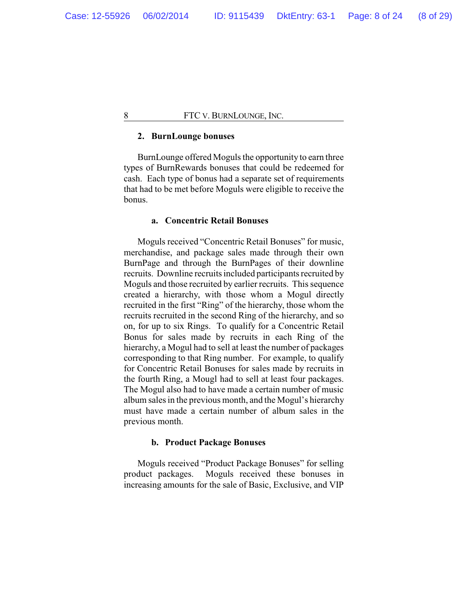## **2. BurnLounge bonuses**

BurnLounge offered Moguls the opportunity to earn three types of BurnRewards bonuses that could be redeemed for cash. Each type of bonus had a separate set of requirements that had to be met before Moguls were eligible to receive the bonus.

## **a. Concentric Retail Bonuses**

Moguls received "Concentric Retail Bonuses" for music, merchandise, and package sales made through their own BurnPage and through the BurnPages of their downline recruits. Downline recruits included participants recruited by Moguls and those recruited by earlier recruits. This sequence created a hierarchy, with those whom a Mogul directly recruited in the first "Ring" of the hierarchy, those whom the recruits recruited in the second Ring of the hierarchy, and so on, for up to six Rings. To qualify for a Concentric Retail Bonus for sales made by recruits in each Ring of the hierarchy, a Mogul had to sell at least the number of packages corresponding to that Ring number. For example, to qualify for Concentric Retail Bonuses for sales made by recruits in the fourth Ring, a Mougl had to sell at least four packages. The Mogul also had to have made a certain number of music album sales in the previous month, and the Mogul's hierarchy must have made a certain number of album sales in the previous month.

#### **b. Product Package Bonuses**

Moguls received "Product Package Bonuses" for selling product packages. Moguls received these bonuses in increasing amounts for the sale of Basic, Exclusive, and VIP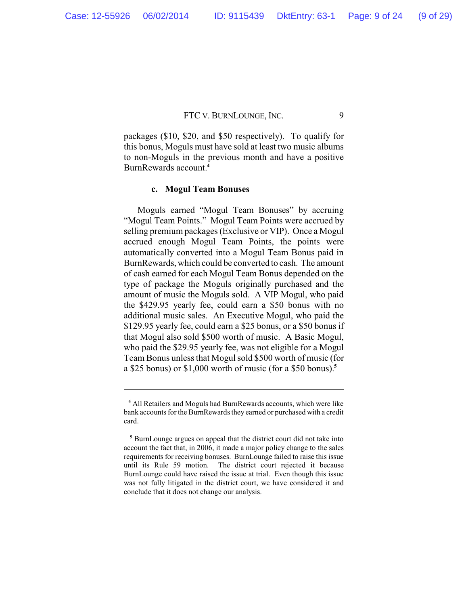packages (\$10, \$20, and \$50 respectively). To qualify for this bonus, Moguls must have sold at least two music albums to non-Moguls in the previous month and have a positive BurnRewards account.**<sup>4</sup>**

## **c. Mogul Team Bonuses**

Moguls earned "Mogul Team Bonuses" by accruing "Mogul Team Points." Mogul Team Points were accrued by selling premium packages (Exclusive or VIP). Once a Mogul accrued enough Mogul Team Points, the points were automatically converted into a Mogul Team Bonus paid in BurnRewards, which could be converted to cash. The amount of cash earned for each Mogul Team Bonus depended on the type of package the Moguls originally purchased and the amount of music the Moguls sold. A VIP Mogul, who paid the \$429.95 yearly fee, could earn a \$50 bonus with no additional music sales. An Executive Mogul, who paid the \$129.95 yearly fee, could earn a \$25 bonus, or a \$50 bonus if that Mogul also sold \$500 worth of music. A Basic Mogul, who paid the \$29.95 yearly fee, was not eligible for a Mogul Team Bonus unless that Mogul sold \$500 worth of music (for a \$25 bonus) or \$1,000 worth of music (for a \$50 bonus).**<sup>5</sup>**

**<sup>4</sup>** All Retailers and Moguls had BurnRewards accounts, which were like bank accounts for the BurnRewards they earned or purchased with a credit card.

**<sup>5</sup>** BurnLounge argues on appeal that the district court did not take into account the fact that, in 2006, it made a major policy change to the sales requirements for receiving bonuses. BurnLounge failed to raise this issue until its Rule 59 motion. The district court rejected it because BurnLounge could have raised the issue at trial. Even though this issue was not fully litigated in the district court, we have considered it and conclude that it does not change our analysis.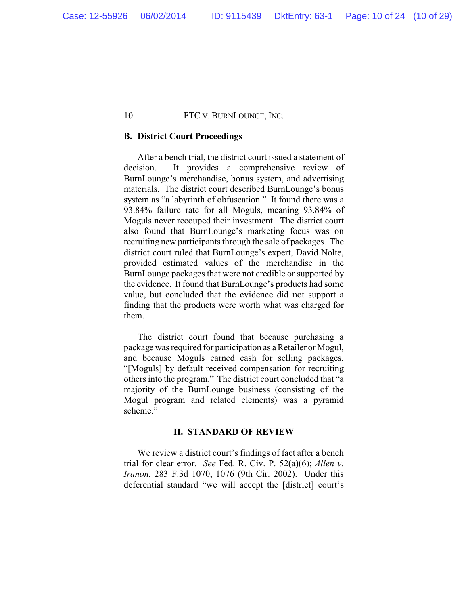## **B. District Court Proceedings**

After a bench trial, the district court issued a statement of decision. It provides a comprehensive review of BurnLounge's merchandise, bonus system, and advertising materials. The district court described BurnLounge's bonus system as "a labyrinth of obfuscation." It found there was a 93.84% failure rate for all Moguls, meaning 93.84% of Moguls never recouped their investment. The district court also found that BurnLounge's marketing focus was on recruiting new participants through the sale of packages. The district court ruled that BurnLounge's expert, David Nolte, provided estimated values of the merchandise in the BurnLounge packages that were not credible or supported by the evidence. It found that BurnLounge's products had some value, but concluded that the evidence did not support a finding that the products were worth what was charged for them.

The district court found that because purchasing a package was required for participation as a Retailer or Mogul, and because Moguls earned cash for selling packages, "[Moguls] by default received compensation for recruiting others into the program." The district court concluded that "a majority of the BurnLounge business (consisting of the Mogul program and related elements) was a pyramid scheme."

## **II. STANDARD OF REVIEW**

We review a district court's findings of fact after a bench trial for clear error. *See* Fed. R. Civ. P. 52(a)(6); *Allen v. Iranon*, 283 F.3d 1070, 1076 (9th Cir. 2002). Under this deferential standard "we will accept the [district] court's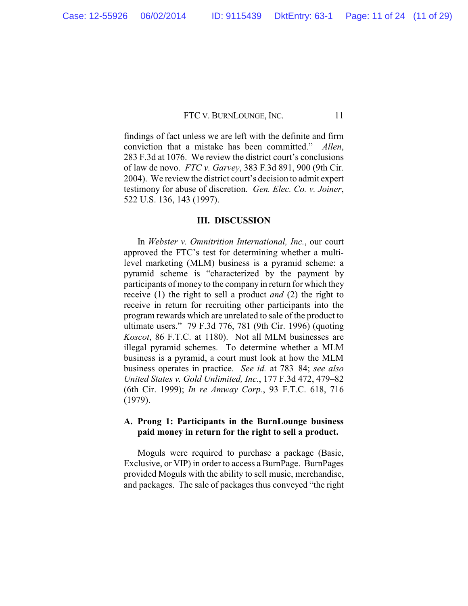findings of fact unless we are left with the definite and firm conviction that a mistake has been committed." *Allen*, 283 F.3d at 1076. We review the district court's conclusions of law de novo. *FTC v. Garvey*, 383 F.3d 891, 900 (9th Cir. 2004). We review the district court's decision to admit expert testimony for abuse of discretion. *Gen. Elec. Co. v. Joiner*, 522 U.S. 136, 143 (1997).

## **III. DISCUSSION**

In *Webster v. Omnitrition International, Inc.*, our court approved the FTC's test for determining whether a multilevel marketing (MLM) business is a pyramid scheme: a pyramid scheme is "characterized by the payment by participants of money to the company in return for which they receive (1) the right to sell a product *and* (2) the right to receive in return for recruiting other participants into the program rewards which are unrelated to sale of the product to ultimate users." 79 F.3d 776, 781 (9th Cir. 1996) (quoting *Koscot*, 86 F.T.C. at 1180). Not all MLM businesses are illegal pyramid schemes. To determine whether a MLM business is a pyramid, a court must look at how the MLM business operates in practice. *See id.* at 783–84; *see also United States v. Gold Unlimited, Inc.*, 177 F.3d 472, 479–82 (6th Cir. 1999); *In re Amway Corp.*, 93 F.T.C. 618, 716 (1979).

## **A. Prong 1: Participants in the BurnLounge business paid money in return for the right to sell a product.**

Moguls were required to purchase a package (Basic, Exclusive, or VIP) in order to access a BurnPage. BurnPages provided Moguls with the ability to sell music, merchandise, and packages. The sale of packages thus conveyed "the right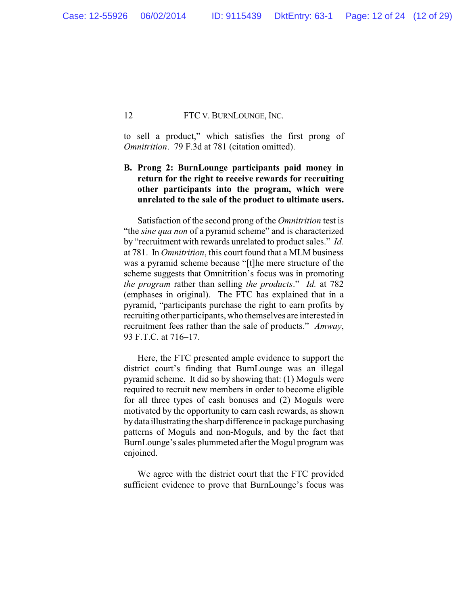to sell a product," which satisfies the first prong of *Omnitrition*. 79 F.3d at 781 (citation omitted).

## **B. Prong 2: BurnLounge participants paid money in return for the right to receive rewards for recruiting other participants into the program, which were unrelated to the sale of the product to ultimate users.**

Satisfaction of the second prong of the *Omnitrition* test is "the *sine qua non* of a pyramid scheme" and is characterized by "recruitment with rewards unrelated to product sales." *Id.* at 781. In *Omnitrition*, this court found that a MLM business was a pyramid scheme because "[t]he mere structure of the scheme suggests that Omnitrition's focus was in promoting *the program* rather than selling *the products*." *Id.* at 782 (emphases in original). The FTC has explained that in a pyramid, "participants purchase the right to earn profits by recruiting other participants, who themselves are interested in recruitment fees rather than the sale of products." *Amway*, 93 F.T.C. at 716–17.

Here, the FTC presented ample evidence to support the district court's finding that BurnLounge was an illegal pyramid scheme. It did so by showing that: (1) Moguls were required to recruit new members in order to become eligible for all three types of cash bonuses and (2) Moguls were motivated by the opportunity to earn cash rewards, as shown by data illustrating the sharp difference in package purchasing patterns of Moguls and non-Moguls, and by the fact that BurnLounge's sales plummeted after the Mogul program was enjoined.

We agree with the district court that the FTC provided sufficient evidence to prove that BurnLounge's focus was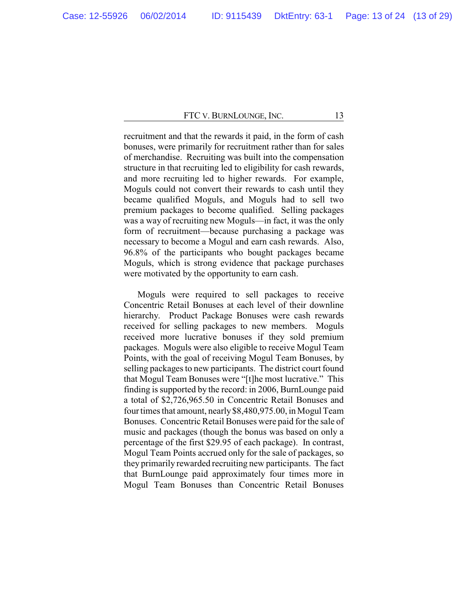recruitment and that the rewards it paid, in the form of cash bonuses, were primarily for recruitment rather than for sales of merchandise. Recruiting was built into the compensation structure in that recruiting led to eligibility for cash rewards, and more recruiting led to higher rewards. For example, Moguls could not convert their rewards to cash until they became qualified Moguls, and Moguls had to sell two premium packages to become qualified. Selling packages was a way of recruiting new Moguls—in fact, it was the only form of recruitment—because purchasing a package was necessary to become a Mogul and earn cash rewards. Also, 96.8% of the participants who bought packages became Moguls, which is strong evidence that package purchases were motivated by the opportunity to earn cash.

Moguls were required to sell packages to receive Concentric Retail Bonuses at each level of their downline hierarchy. Product Package Bonuses were cash rewards received for selling packages to new members. Moguls received more lucrative bonuses if they sold premium packages. Moguls were also eligible to receive Mogul Team Points, with the goal of receiving Mogul Team Bonuses, by selling packages to new participants. The district court found that Mogul Team Bonuses were "[t]he most lucrative." This finding is supported by the record: in 2006, BurnLounge paid a total of \$2,726,965.50 in Concentric Retail Bonuses and four times that amount, nearly\$8,480,975.00, in Mogul Team Bonuses. Concentric Retail Bonuses were paid for the sale of music and packages (though the bonus was based on only a percentage of the first \$29.95 of each package). In contrast, Mogul Team Points accrued only for the sale of packages, so they primarily rewarded recruiting new participants. The fact that BurnLounge paid approximately four times more in Mogul Team Bonuses than Concentric Retail Bonuses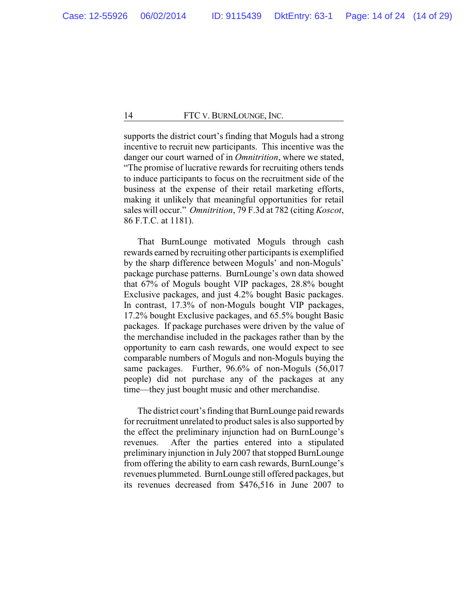supports the district court's finding that Moguls had a strong incentive to recruit new participants. This incentive was the danger our court warned of in *Omnitrition*, where we stated, "The promise of lucrative rewards for recruiting others tends to induce participants to focus on the recruitment side of the business at the expense of their retail marketing efforts, making it unlikely that meaningful opportunities for retail sales will occur." *Omnitrition*, 79 F.3d at 782 (citing *Koscot*, 86 F.T.C. at 1181).

That BurnLounge motivated Moguls through cash rewards earned by recruiting other participants is exemplified by the sharp difference between Moguls' and non-Moguls' package purchase patterns. BurnLounge's own data showed that 67% of Moguls bought VIP packages, 28.8% bought Exclusive packages, and just 4.2% bought Basic packages. In contrast, 17.3% of non-Moguls bought VIP packages, 17.2% bought Exclusive packages, and 65.5% bought Basic packages. If package purchases were driven by the value of the merchandise included in the packages rather than by the opportunity to earn cash rewards, one would expect to see comparable numbers of Moguls and non-Moguls buying the same packages. Further, 96.6% of non-Moguls (56,017 people) did not purchase any of the packages at any time—they just bought music and other merchandise.

The district court's finding that BurnLounge paid rewards for recruitment unrelated to product sales is also supported by the effect the preliminary injunction had on BurnLounge's revenues. After the parties entered into a stipulated preliminary injunction in July 2007 that stopped BurnLounge from offering the ability to earn cash rewards, BurnLounge's revenues plummeted. BurnLounge still offered packages, but its revenues decreased from \$476,516 in June 2007 to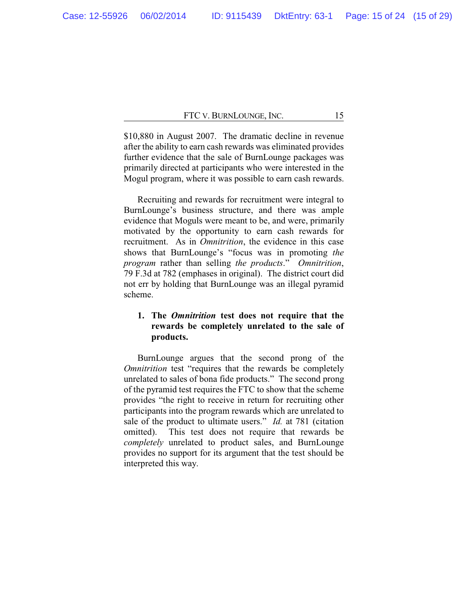\$10,880 in August 2007. The dramatic decline in revenue after the ability to earn cash rewards was eliminated provides further evidence that the sale of BurnLounge packages was primarily directed at participants who were interested in the Mogul program, where it was possible to earn cash rewards.

Recruiting and rewards for recruitment were integral to BurnLounge's business structure, and there was ample evidence that Moguls were meant to be, and were, primarily motivated by the opportunity to earn cash rewards for recruitment. As in *Omnitrition*, the evidence in this case shows that BurnLounge's "focus was in promoting *the program* rather than selling *the products*." *Omnitrition*, 79 F.3d at 782 (emphases in original). The district court did not err by holding that BurnLounge was an illegal pyramid scheme.

## **1. The** *Omnitrition* **test does not require that the rewards be completely unrelated to the sale of products.**

BurnLounge argues that the second prong of the *Omnitrition* test "requires that the rewards be completely unrelated to sales of bona fide products." The second prong of the pyramid test requires the FTC to show that the scheme provides "the right to receive in return for recruiting other participants into the program rewards which are unrelated to sale of the product to ultimate users." *Id.* at 781 (citation omitted). This test does not require that rewards be *completely* unrelated to product sales, and BurnLounge provides no support for its argument that the test should be interpreted this way.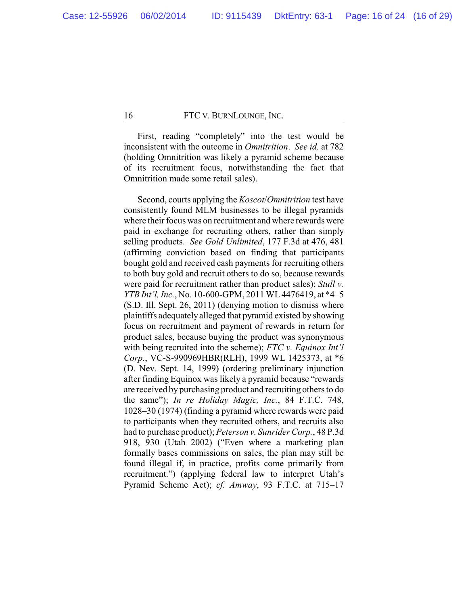First, reading "completely" into the test would be inconsistent with the outcome in *Omnitrition*. *See id.* at 782 (holding Omnitrition was likely a pyramid scheme because of its recruitment focus, notwithstanding the fact that Omnitrition made some retail sales).

Second, courts applying the *Koscot*/*Omnitrition* test have consistently found MLM businesses to be illegal pyramids where their focus was on recruitment and where rewards were paid in exchange for recruiting others, rather than simply selling products. *See Gold Unlimited*, 177 F.3d at 476, 481 (affirming conviction based on finding that participants bought gold and received cash payments for recruiting others to both buy gold and recruit others to do so, because rewards were paid for recruitment rather than product sales); *Stull v. YTB Int'l, Inc.*, No. 10-600-GPM, 2011 WL4476419, at \*4–5 (S.D. Ill. Sept. 26, 2011) (denying motion to dismiss where plaintiffs adequatelyalleged that pyramid existed by showing focus on recruitment and payment of rewards in return for product sales, because buying the product was synonymous with being recruited into the scheme); *FTC v. Equinox Int'l Corp.*, VC-S-990969HBR(RLH), 1999 WL 1425373, at \*6 (D. Nev. Sept. 14, 1999) (ordering preliminary injunction after finding Equinox was likely a pyramid because "rewards are received by purchasing product and recruiting others to do the same"); *In re Holiday Magic, Inc.*, 84 F.T.C. 748, 1028–30 (1974) (finding a pyramid where rewards were paid to participants when they recruited others, and recruits also had to purchase product); *Peterson v. Sunrider Corp.*, 48 P.3d 918, 930 (Utah 2002) ("Even where a marketing plan formally bases commissions on sales, the plan may still be found illegal if, in practice, profits come primarily from recruitment.") (applying federal law to interpret Utah's Pyramid Scheme Act); *cf. Amway*, 93 F.T.C. at 715–17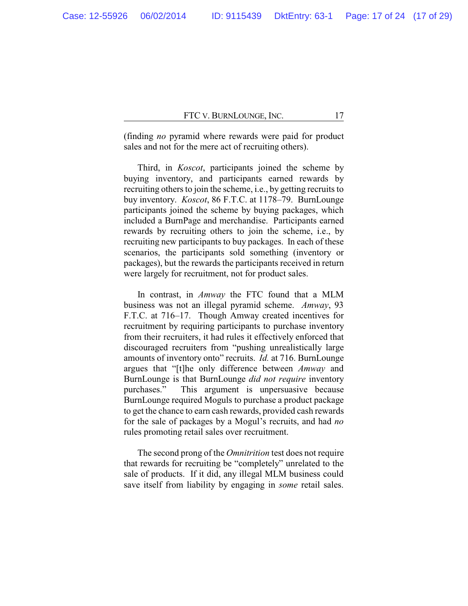(finding *no* pyramid where rewards were paid for product sales and not for the mere act of recruiting others).

Third, in *Koscot*, participants joined the scheme by buying inventory, and participants earned rewards by recruiting others to join the scheme, i.e., by getting recruits to buy inventory. *Koscot*, 86 F.T.C. at 1178–79. BurnLounge participants joined the scheme by buying packages, which included a BurnPage and merchandise. Participants earned rewards by recruiting others to join the scheme, i.e., by recruiting new participants to buy packages. In each of these scenarios, the participants sold something (inventory or packages), but the rewards the participants received in return were largely for recruitment, not for product sales.

In contrast, in *Amway* the FTC found that a MLM business was not an illegal pyramid scheme. *Amway*, 93 F.T.C. at 716–17. Though Amway created incentives for recruitment by requiring participants to purchase inventory from their recruiters, it had rules it effectively enforced that discouraged recruiters from "pushing unrealistically large amounts of inventory onto" recruits. *Id.* at 716. BurnLounge argues that "[t]he only difference between *Amway* and BurnLounge is that BurnLounge *did not require* inventory purchases." This argument is unpersuasive because BurnLounge required Moguls to purchase a product package to get the chance to earn cash rewards, provided cash rewards for the sale of packages by a Mogul's recruits, and had *no* rules promoting retail sales over recruitment.

The second prong of the *Omnitrition* test does not require that rewards for recruiting be "completely" unrelated to the sale of products. If it did, any illegal MLM business could save itself from liability by engaging in *some* retail sales.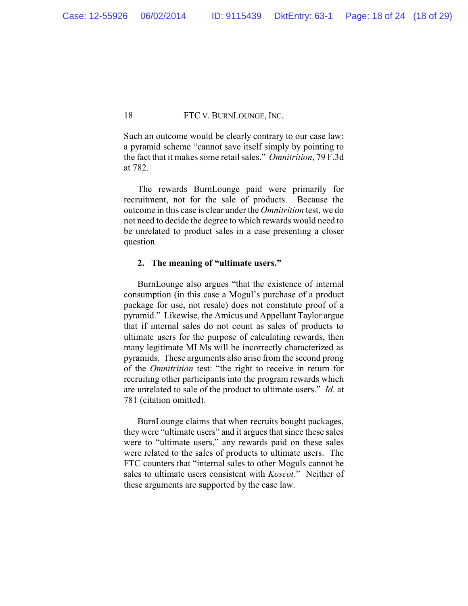Such an outcome would be clearly contrary to our case law: a pyramid scheme "cannot save itself simply by pointing to the fact that it makes some retail sales." *Omnitrition*, 79 F.3d at 782.

The rewards BurnLounge paid were primarily for recruitment, not for the sale of products. Because the outcome in this case is clear under the *Omnitrition* test, we do not need to decide the degree to which rewards would need to be unrelated to product sales in a case presenting a closer question.

#### **2. The meaning of "ultimate users."**

BurnLounge also argues "that the existence of internal consumption (in this case a Mogul's purchase of a product package for use, not resale) does not constitute proof of a pyramid." Likewise, the Amicus and Appellant Taylor argue that if internal sales do not count as sales of products to ultimate users for the purpose of calculating rewards, then many legitimate MLMs will be incorrectly characterized as pyramids. These arguments also arise from the second prong of the *Omnitrition* test: "the right to receive in return for recruiting other participants into the program rewards which are unrelated to sale of the product to ultimate users." *Id.* at 781 (citation omitted).

BurnLounge claims that when recruits bought packages, they were "ultimate users" and it argues that since these sales were to "ultimate users," any rewards paid on these sales were related to the sales of products to ultimate users. The FTC counters that "internal sales to other Moguls cannot be sales to ultimate users consistent with *Koscot*." Neither of these arguments are supported by the case law.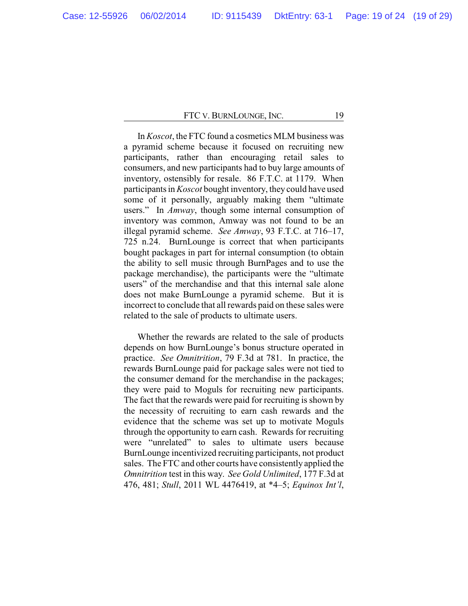In *Koscot*, the FTC found a cosmetics MLM business was a pyramid scheme because it focused on recruiting new participants, rather than encouraging retail sales to consumers, and new participants had to buy large amounts of inventory, ostensibly for resale. 86 F.T.C. at 1179. When participants in *Koscot* bought inventory, they could have used some of it personally, arguably making them "ultimate users." In *Amway*, though some internal consumption of inventory was common, Amway was not found to be an illegal pyramid scheme. *See Amway*, 93 F.T.C. at 716–17, 725 n.24. BurnLounge is correct that when participants bought packages in part for internal consumption (to obtain the ability to sell music through BurnPages and to use the package merchandise), the participants were the "ultimate users" of the merchandise and that this internal sale alone does not make BurnLounge a pyramid scheme. But it is incorrect to conclude that all rewards paid on these sales were related to the sale of products to ultimate users.

Whether the rewards are related to the sale of products depends on how BurnLounge's bonus structure operated in practice. *See Omnitrition*, 79 F.3d at 781. In practice, the rewards BurnLounge paid for package sales were not tied to the consumer demand for the merchandise in the packages; they were paid to Moguls for recruiting new participants. The fact that the rewards were paid for recruiting is shown by the necessity of recruiting to earn cash rewards and the evidence that the scheme was set up to motivate Moguls through the opportunity to earn cash. Rewards for recruiting were "unrelated" to sales to ultimate users because BurnLounge incentivized recruiting participants, not product sales. The FTC and other courts have consistently applied the *Omnitrition* test in this way. *See Gold Unlimited*, 177 F.3d at 476, 481; *Stull*, 2011 WL 4476419, at \*4–5; *Equinox Int'l*,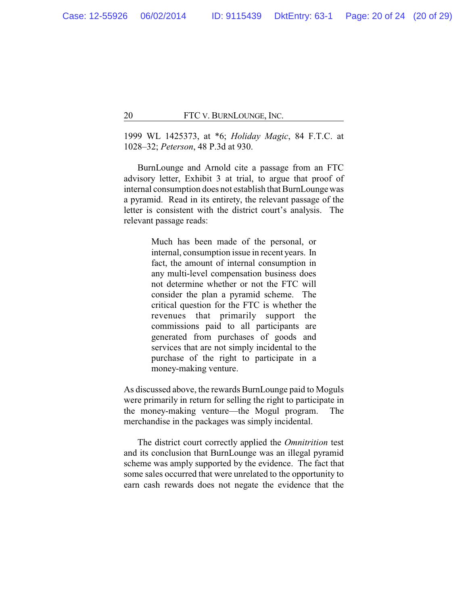1999 WL 1425373, at \*6; *Holiday Magic*, 84 F.T.C. at 1028–32; *Peterson*, 48 P.3d at 930.

BurnLounge and Arnold cite a passage from an FTC advisory letter, Exhibit 3 at trial, to argue that proof of internal consumption does not establish that BurnLounge was a pyramid. Read in its entirety, the relevant passage of the letter is consistent with the district court's analysis. The relevant passage reads:

> Much has been made of the personal, or internal, consumption issue in recent years. In fact, the amount of internal consumption in any multi-level compensation business does not determine whether or not the FTC will consider the plan a pyramid scheme. The critical question for the FTC is whether the revenues that primarily support the commissions paid to all participants are generated from purchases of goods and services that are not simply incidental to the purchase of the right to participate in a money-making venture.

As discussed above, the rewards BurnLounge paid to Moguls were primarily in return for selling the right to participate in the money-making venture—the Mogul program. The merchandise in the packages was simply incidental.

The district court correctly applied the *Omnitrition* test and its conclusion that BurnLounge was an illegal pyramid scheme was amply supported by the evidence. The fact that some sales occurred that were unrelated to the opportunity to earn cash rewards does not negate the evidence that the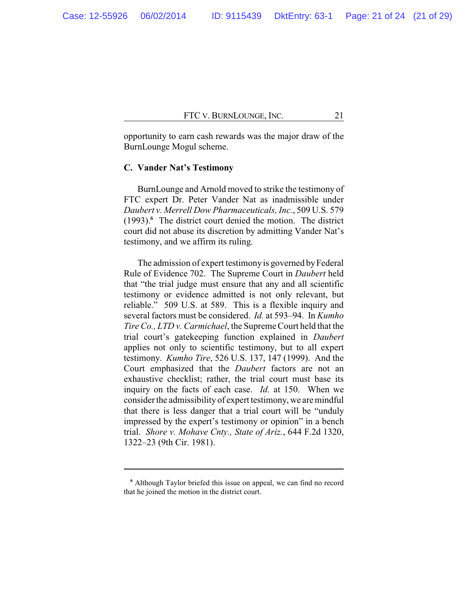opportunity to earn cash rewards was the major draw of the BurnLounge Mogul scheme.

## **C. Vander Nat's Testimony**

BurnLounge and Arnold moved to strike the testimony of FTC expert Dr. Peter Vander Nat as inadmissible under *Daubert v. Merrell Dow Pharmaceuticals, Inc.*, 509 U.S. 579 (1993).**<sup>6</sup>** The district court denied the motion. The district court did not abuse its discretion by admitting Vander Nat's testimony, and we affirm its ruling.

The admission of expert testimony is governed by Federal Rule of Evidence 702. The Supreme Court in *Daubert* held that "the trial judge must ensure that any and all scientific testimony or evidence admitted is not only relevant, but reliable." 509 U.S. at 589. This is a flexible inquiry and several factors must be considered. *Id.* at 593–94. In *Kumho Tire Co., LTD v. Carmichael*, the Supreme Court held that the trial court's gatekeeping function explained in *Daubert* applies not only to scientific testimony, but to all expert testimony. *Kumho Tire*, 526 U.S. 137, 147 (1999). And the Court emphasized that the *Daubert* factors are not an exhaustive checklist; rather, the trial court must base its inquiry on the facts of each case. *Id.* at 150. When we consider the admissibility of expert testimony, we are mindful that there is less danger that a trial court will be "unduly impressed by the expert's testimony or opinion" in a bench trial. *Shore v. Mohave Cnty., State of Ariz.*, 644 F.2d 1320, 1322–23 (9th Cir. 1981).

**<sup>6</sup>** Although Taylor briefed this issue on appeal, we can find no record that he joined the motion in the district court.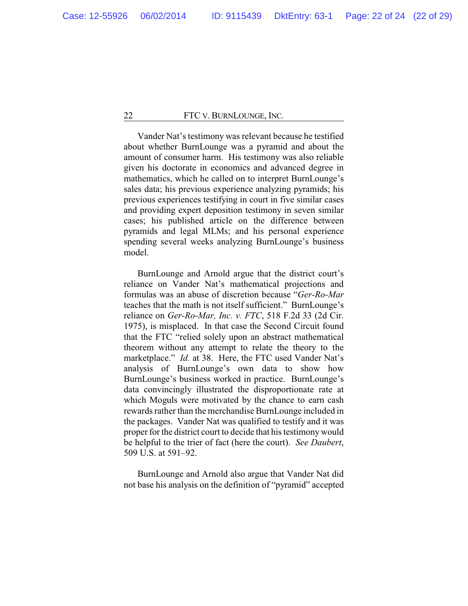Vander Nat's testimony was relevant because he testified about whether BurnLounge was a pyramid and about the amount of consumer harm. His testimony was also reliable given his doctorate in economics and advanced degree in mathematics, which he called on to interpret BurnLounge's sales data; his previous experience analyzing pyramids; his previous experiences testifying in court in five similar cases and providing expert deposition testimony in seven similar cases; his published article on the difference between pyramids and legal MLMs; and his personal experience spending several weeks analyzing BurnLounge's business model.

BurnLounge and Arnold argue that the district court's reliance on Vander Nat's mathematical projections and formulas was an abuse of discretion because "*Ger-Ro-Mar* teaches that the math is not itself sufficient." BurnLounge's reliance on *Ger-Ro-Mar, Inc. v. FTC*, 518 F.2d 33 (2d Cir. 1975), is misplaced. In that case the Second Circuit found that the FTC "relied solely upon an abstract mathematical theorem without any attempt to relate the theory to the marketplace." *Id.* at 38. Here, the FTC used Vander Nat's analysis of BurnLounge's own data to show how BurnLounge's business worked in practice. BurnLounge's data convincingly illustrated the disproportionate rate at which Moguls were motivated by the chance to earn cash rewards rather than the merchandise BurnLounge included in the packages. Vander Nat was qualified to testify and it was proper for the district court to decide that his testimony would be helpful to the trier of fact (here the court). *See Daubert*, 509 U.S. at 591–92.

BurnLounge and Arnold also argue that Vander Nat did not base his analysis on the definition of "pyramid" accepted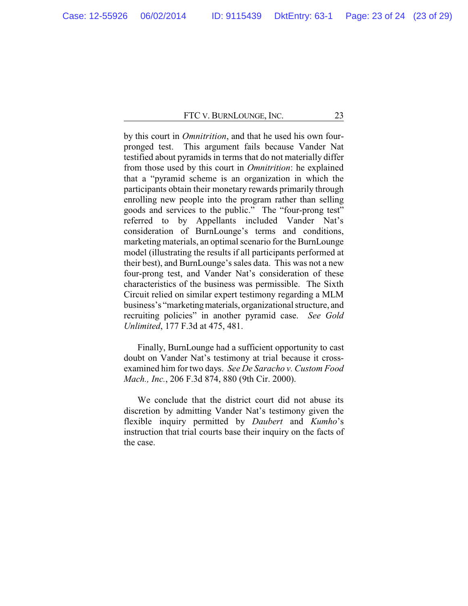by this court in *Omnitrition*, and that he used his own fourpronged test. This argument fails because Vander Nat testified about pyramids in terms that do not materially differ from those used by this court in *Omnitrition*: he explained that a "pyramid scheme is an organization in which the participants obtain their monetary rewards primarily through enrolling new people into the program rather than selling goods and services to the public." The "four-prong test" referred to by Appellants included Vander Nat's consideration of BurnLounge's terms and conditions, marketing materials, an optimal scenario for the BurnLounge model (illustrating the results if all participants performed at their best), and BurnLounge's sales data. This was not a new four-prong test, and Vander Nat's consideration of these characteristics of the business was permissible. The Sixth Circuit relied on similar expert testimony regarding a MLM business's "marketingmaterials, organizational structure, and recruiting policies" in another pyramid case. *See Gold Unlimited*, 177 F.3d at 475, 481.

Finally, BurnLounge had a sufficient opportunity to cast doubt on Vander Nat's testimony at trial because it crossexamined him for two days. *See De Saracho v. Custom Food Mach., Inc.*, 206 F.3d 874, 880 (9th Cir. 2000).

We conclude that the district court did not abuse its discretion by admitting Vander Nat's testimony given the flexible inquiry permitted by *Daubert* and *Kumho*'s instruction that trial courts base their inquiry on the facts of the case.